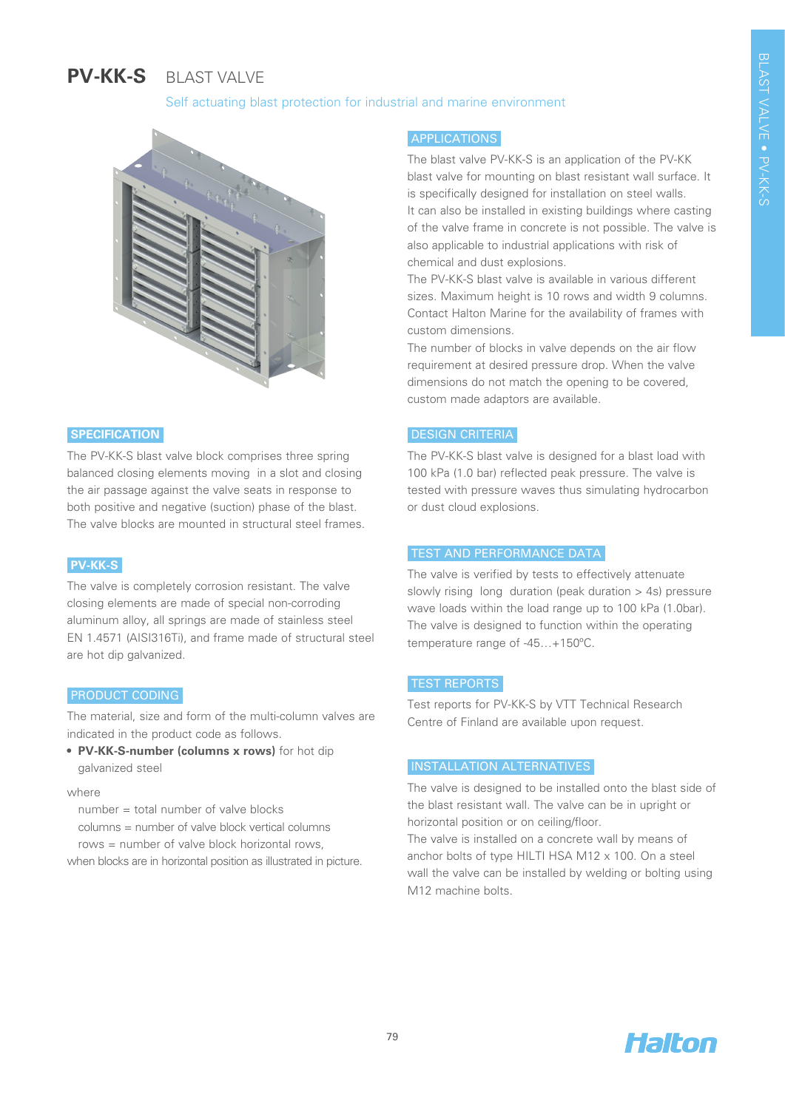# **PV-KK-S**  BLAST VALVE

## Self actuating blast protection for industrial and marine environment



## **SPECIFICATION**

The PV-KK-S blast valve block comprises three spring balanced closing elements moving in a slot and closing the air passage against the valve seats in response to both positive and negative (suction) phase of the blast. The valve blocks are mounted in structural steel frames.

## **PV-KK-S**

The valve is completely corrosion resistant. The valve closing elements are made of special non-corroding aluminum alloy, all springs are made of stainless steel EN 1.4571 (AISI316Ti), and frame made of structural steel are hot dip galvanized.

## PRODUCT CODING

The material, size and form of the multi-column valves are indicated in the product code as follows.

**• PV-KK-S-number (columns x rows)** for hot dip galvanized steel

#### where

number = total number of valve blocks

columns = number of valve block vertical columns

rows = number of valve block horizontal rows,

when blocks are in horizontal position as illustrated in picture.

## APPLICATIONS

The blast valve PV-KK-S is an application of the PV-KK blast valve for mounting on blast resistant wall surface. It is specifically designed for installation on steel walls. It can also be installed in existing buildings where casting of the valve frame in concrete is not possible. The valve is also applicable to industrial applications with risk of chemical and dust explosions.

The PV-KK-S blast valve is available in various different sizes. Maximum height is 10 rows and width 9 columns. Contact Halton Marine for the availability of frames with custom dimensions.

The number of blocks in valve depends on the air flow requirement at desired pressure drop. When the valve dimensions do not match the opening to be covered, custom made adaptors are available.

## DESIGN CRITERIA

The PV-KK-S blast valve is designed for a blast load with 100 kPa (1.0 bar) reflected peak pressure. The valve is tested with pressure waves thus simulating hydrocarbon or dust cloud explosions.

#### TEST AND PERFORMANCE DATA

The valve is verified by tests to effectively attenuate slowly rising long duration (peak duration > 4s) pressure wave loads within the load range up to 100 kPa (1.0bar). The valve is designed to function within the operating temperature range of -45…+150ºC.

## TEST REPORTS

Test reports for PV-KK-S by VTT Technical Research Centre of Finland are available upon request.

## INSTALLATION ALTERNATIVES

The valve is designed to be installed onto the blast side of the blast resistant wall. The valve can be in upright or horizontal position or on ceiling/floor.

The valve is installed on a concrete wall by means of anchor bolts of type HILTI HSA M12 x 100. On a steel wall the valve can be installed by welding or bolting using M12 machine bolts.

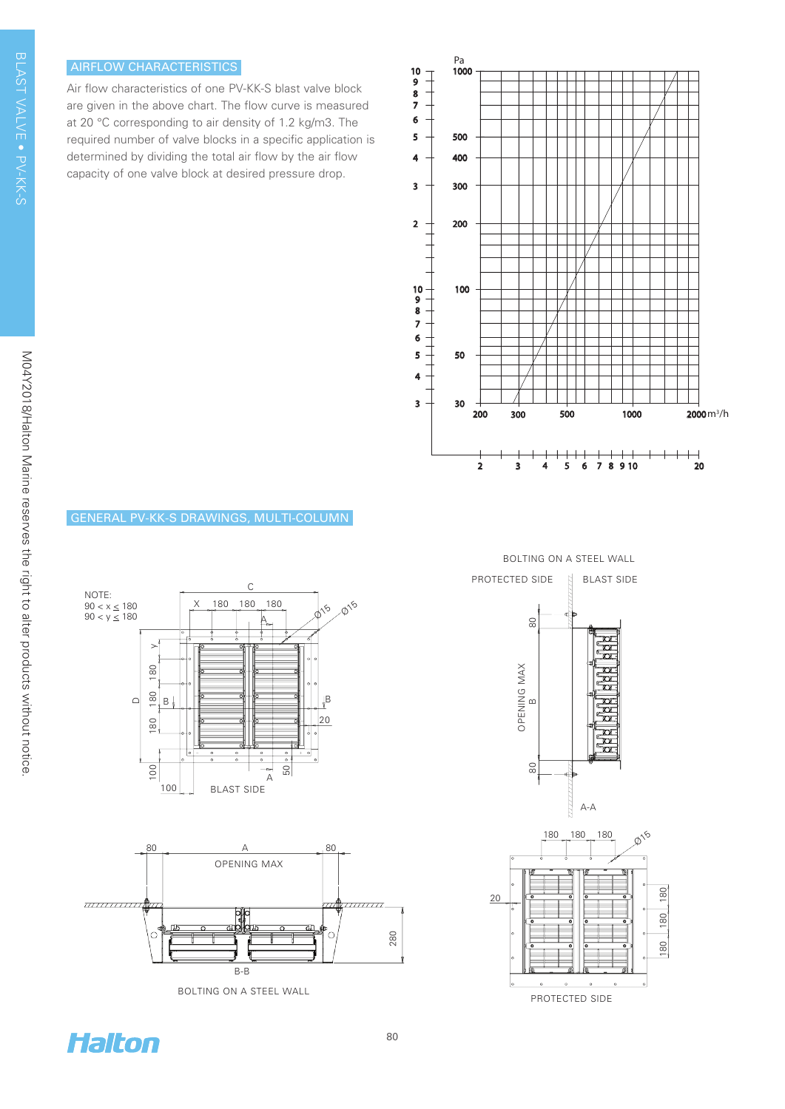# AIRFLOW CHARACTERISTICS

Air flow characteristics of one PV-KK-S blast valve block are given in the above chart. The flow curve is measured at 20 °C corresponding to air density of 1.2 kg/m3. The required number of valve blocks in a specific application is determined by dividing the total air flow by the air flow capacity of one valve block at desired pressure drop.









BOLTING ON A STEEL WALL

BOLTING ON A STEEL WALL







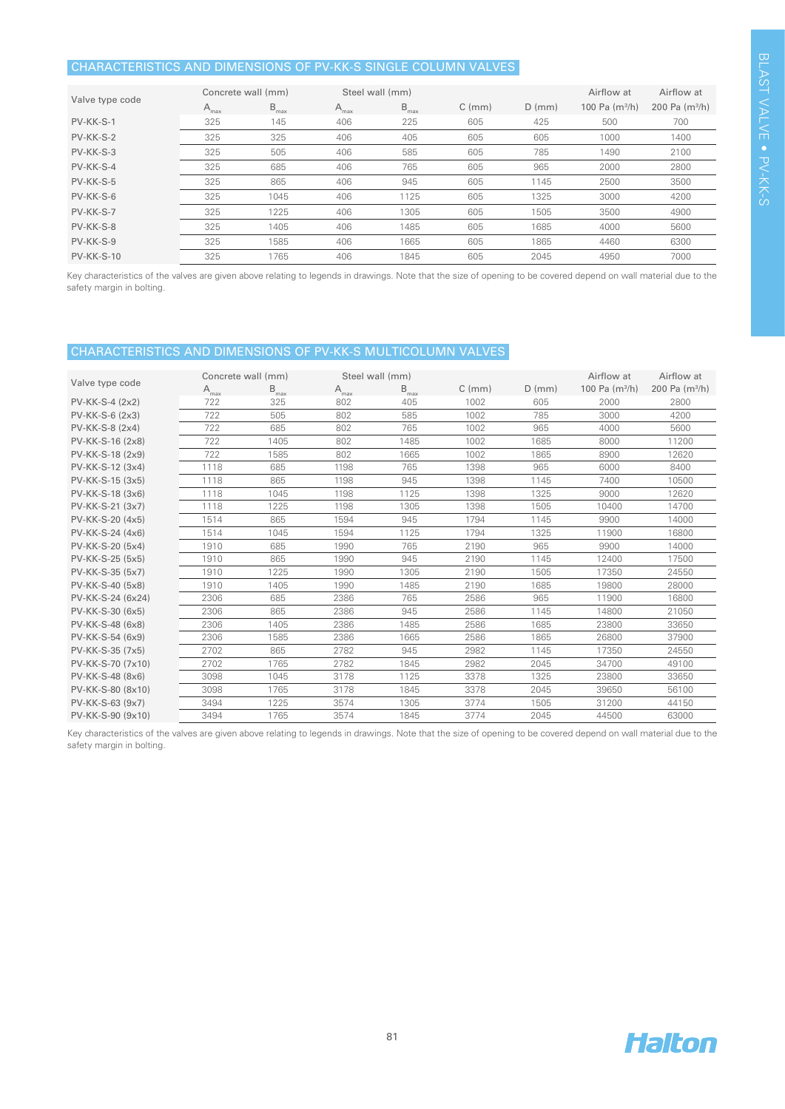## CHARACTERISTICS AND DIMENSIONS OF PV-KK-S SINGLE COLUMN VALVES

| Valve type code   | Concrete wall (mm) |                  | Steel wall (mm) |                  |             |          | Airflow at       | Airflow at       |
|-------------------|--------------------|------------------|-----------------|------------------|-------------|----------|------------------|------------------|
|                   | $A_{\text{max}}$   | $B_{\text{max}}$ | $A_{max}$       | $B_{\text{max}}$ | $C \, (mm)$ | $D$ (mm) | 100 Pa $(m^3/h)$ | 200 Pa $(m^3/h)$ |
| PV-KK-S-1         | 325                | 145              | 406             | 225              | 605         | 425      | 500              | 700              |
| PV-KK-S-2         | 325                | 325              | 406             | 405              | 605         | 605      | 1000             | 1400             |
| PV-KK-S-3         | 325                | 505              | 406             | 585              | 605         | 785      | 1490             | 2100             |
| PV-KK-S-4         | 325                | 685              | 406             | 765              | 605         | 965      | 2000             | 2800             |
| PV-KK-S-5         | 325                | 865              | 406             | 945              | 605         | 1145     | 2500             | 3500             |
| PV-KK-S-6         | 325                | 1045             | 406             | 1125             | 605         | 1325     | 3000             | 4200             |
| PV-KK-S-7         | 325                | 1225             | 406             | 1305             | 605         | 1505     | 3500             | 4900             |
| PV-KK-S-8         | 325                | 1405             | 406             | 1485             | 605         | 1685     | 4000             | 5600             |
| PV-KK-S-9         | 325                | 1585             | 406             | 1665             | 605         | 1865     | 4460             | 6300             |
| <b>PV-KK-S-10</b> | 325                | 1765             | 406             | 1845             | 605         | 2045     | 4950             | 7000             |

Key characteristics of the valves are given above relating to legends in drawings. Note that the size of opening to be covered depend on wall material due to the safety margin in bolting.

## CHARACTERISTICS AND DIMENSIONS OF PV-KK-S MULTICOLUMN VALVES

| Valve type code   | Concrete wall (mm) |                  | Steel wall (mm)  |                  |             |          | Airflow at       | Airflow at                 |
|-------------------|--------------------|------------------|------------------|------------------|-------------|----------|------------------|----------------------------|
|                   | $A_{\text{max}}$   | $B_{\text{max}}$ | $A_{\text{max}}$ | $B_{\text{max}}$ | $C \, (mm)$ | $D$ (mm) | 100 Pa $(m^3/h)$ | 200 Pa (m <sup>3</sup> /h) |
| $PV-KK-S-4 (2x2)$ | 722                | 325              | 802              | 405              | 1002        | 605      | 2000             | 2800                       |
| $PV-KK-S-6(2x3)$  | 722                | 505              | 802              | 585              | 1002        | 785      | 3000             | 4200                       |
| $PV-KK-S-8(2x4)$  | 722                | 685              | 802              | 765              | 1002        | 965      | 4000             | 5600                       |
| PV-KK-S-16 (2x8)  | 722                | 1405             | 802              | 1485             | 1002        | 1685     | 8000             | 11200                      |
| PV-KK-S-18 (2x9)  | 722                | 1585             | 802              | 1665             | 1002        | 1865     | 8900             | 12620                      |
| PV-KK-S-12 (3x4)  | 1118               | 685              | 1198             | 765              | 1398        | 965      | 6000             | 8400                       |
| PV-KK-S-15 (3x5)  | 1118               | 865              | 1198             | 945              | 1398        | 1145     | 7400             | 10500                      |
| PV-KK-S-18 (3x6)  | 1118               | 1045             | 1198             | 1125             | 1398        | 1325     | 9000             | 12620                      |
| PV-KK-S-21 (3x7)  | 1118               | 1225             | 1198             | 1305             | 1398        | 1505     | 10400            | 14700                      |
| PV-KK-S-20 (4x5)  | 1514               | 865              | 1594             | 945              | 1794        | 1145     | 9900             | 14000                      |
| PV-KK-S-24 (4x6)  | 1514               | 1045             | 1594             | 1125             | 1794        | 1325     | 11900            | 16800                      |
| PV-KK-S-20 (5x4)  | 1910               | 685              | 1990             | 765              | 2190        | 965      | 9900             | 14000                      |
| PV-KK-S-25 (5x5)  | 1910               | 865              | 1990             | 945              | 2190        | 1145     | 12400            | 17500                      |
| PV-KK-S-35 (5x7)  | 1910               | 1225             | 1990             | 1305             | 2190        | 1505     | 17350            | 24550                      |
| PV-KK-S-40 (5x8)  | 1910               | 1405             | 1990             | 1485             | 2190        | 1685     | 19800            | 28000                      |
| PV-KK-S-24 (6x24) | 2306               | 685              | 2386             | 765              | 2586        | 965      | 11900            | 16800                      |
| PV-KK-S-30 (6x5)  | 2306               | 865              | 2386             | 945              | 2586        | 1145     | 14800            | 21050                      |
| PV-KK-S-48 (6x8)  | 2306               | 1405             | 2386             | 1485             | 2586        | 1685     | 23800            | 33650                      |
| PV-KK-S-54 (6x9)  | 2306               | 1585             | 2386             | 1665             | 2586        | 1865     | 26800            | 37900                      |
| PV-KK-S-35 (7x5)  | 2702               | 865              | 2782             | 945              | 2982        | 1145     | 17350            | 24550                      |
| PV-KK-S-70 (7x10) | 2702               | 1765             | 2782             | 1845             | 2982        | 2045     | 34700            | 49100                      |
| PV-KK-S-48 (8x6)  | 3098               | 1045             | 3178             | 1125             | 3378        | 1325     | 23800            | 33650                      |
| PV-KK-S-80 (8x10) | 3098               | 1765             | 3178             | 1845             | 3378        | 2045     | 39650            | 56100                      |
| PV-KK-S-63 (9x7)  | 3494               | 1225             | 3574             | 1305             | 3774        | 1505     | 31200            | 44150                      |
| PV-KK-S-90 (9x10) | 3494               | 1765             | 3574             | 1845             | 3774        | 2045     | 44500            | 63000                      |

Key characteristics of the valves are given above relating to legends in drawings. Note that the size of opening to be covered depend on wall material due to the safety margin in bolting.